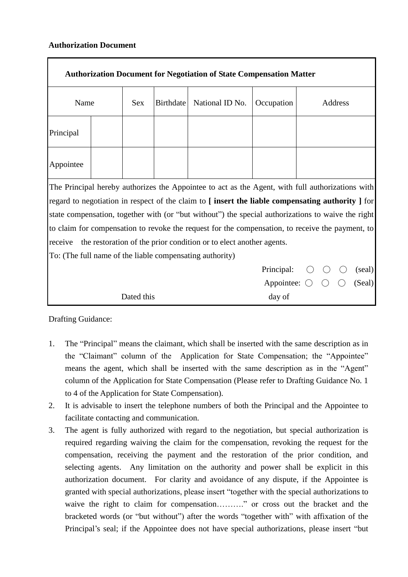## **Authorization Document**

| <b>Authorization Document for Negotiation of State Compensation Matter</b>                         |  |            |                  |                 |                                             |         |  |  |        |
|----------------------------------------------------------------------------------------------------|--|------------|------------------|-----------------|---------------------------------------------|---------|--|--|--------|
| Name                                                                                               |  | <b>Sex</b> | <b>Birthdate</b> | National ID No. | Occupation                                  | Address |  |  |        |
| Principal                                                                                          |  |            |                  |                 |                                             |         |  |  |        |
| Appointee                                                                                          |  |            |                  |                 |                                             |         |  |  |        |
| The Principal hereby authorizes the Appointee to act as the Agent, with full authorizations with   |  |            |                  |                 |                                             |         |  |  |        |
| regard to negotiation in respect of the claim to [insert the liable compensating authority ] for   |  |            |                  |                 |                                             |         |  |  |        |
| state compensation, together with (or "but without") the special authorizations to waive the right |  |            |                  |                 |                                             |         |  |  |        |
| to claim for compensation to revoke the request for the compensation, to receive the payment, to   |  |            |                  |                 |                                             |         |  |  |        |
| the restoration of the prior condition or to elect another agents.<br>receive                      |  |            |                  |                 |                                             |         |  |  |        |
| To: (The full name of the liable compensating authority)                                           |  |            |                  |                 |                                             |         |  |  |        |
|                                                                                                    |  |            |                  |                 | Principal:                                  |         |  |  | (seal) |
|                                                                                                    |  |            |                  |                 | Appointee: $\bigcirc$ $\bigcirc$ $\bigcirc$ |         |  |  | (Seal) |
| Dated this                                                                                         |  |            |                  |                 | day of                                      |         |  |  |        |

Drafting Guidance:

- 1. The "Principal" means the claimant, which shall be inserted with the same description as in the "Claimant" column of the Application for State Compensation; the "Appointee" means the agent, which shall be inserted with the same description as in the "Agent" column of the Application for State Compensation (Please refer to Drafting Guidance No. 1 to 4 of the Application for State Compensation).
- 2. It is advisable to insert the telephone numbers of both the Principal and the Appointee to facilitate contacting and communication.
- 3. The agent is fully authorized with regard to the negotiation, but special authorization is required regarding waiving the claim for the compensation, revoking the request for the compensation, receiving the payment and the restoration of the prior condition, and selecting agents. Any limitation on the authority and power shall be explicit in this authorization document. For clarity and avoidance of any dispute, if the Appointee is granted with special authorizations, please insert "together with the special authorizations to waive the right to claim for compensation………." or cross out the bracket and the bracketed words (or "but without") after the words "together with" with affixation of the Principal's seal; if the Appointee does not have special authorizations, please insert "but